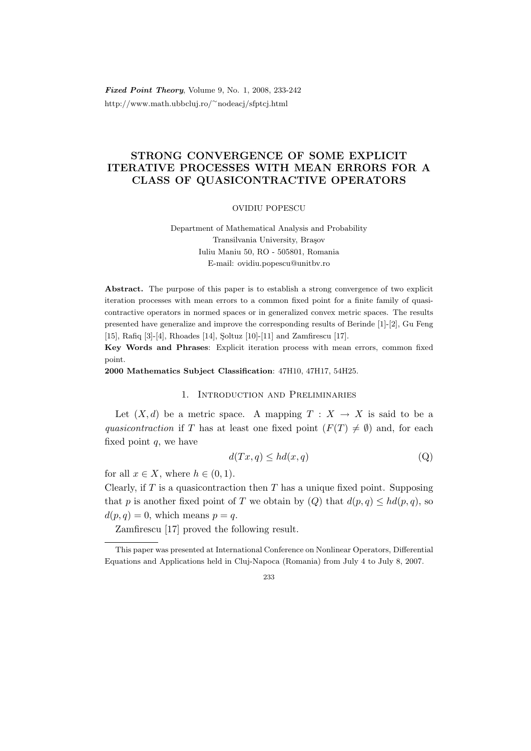Fixed Point Theory, Volume 9, No. 1, 2008, 233-242 http://www.math.ubbcluj.ro/<sup>∼</sup>nodeacj/sfptcj.html

# STRONG CONVERGENCE OF SOME EXPLICIT ITERATIVE PROCESSES WITH MEAN ERRORS FOR A CLASS OF QUASICONTRACTIVE OPERATORS

OVIDIU POPESCU

Department of Mathematical Analysis and Probability Transilvania University, Brasov Iuliu Maniu 50, RO - 505801, Romania E-mail: ovidiu.popescu@unitbv.ro

Abstract. The purpose of this paper is to establish a strong convergence of two explicit iteration processes with mean errors to a common fixed point for a finite family of quasicontractive operators in normed spaces or in generalized convex metric spaces. The results presented have generalize and improve the corresponding results of Berinde [1]-[2], Gu Feng [15], Rafiq [3]-[4], Rhoades [14], Soltuz [10]-[11] and Zamfirescu [17].

Key Words and Phrases: Explicit iteration process with mean errors, common fixed point.

2000 Mathematics Subject Classification: 47H10, 47H17, 54H25.

### 1. Introduction and Preliminaries

Let  $(X, d)$  be a metric space. A mapping  $T : X \to X$  is said to be a quasicontraction if T has at least one fixed point  $(F(T) \neq \emptyset)$  and, for each fixed point  $q$ , we have

$$
d(Tx, q) \le hd(x, q) \tag{Q}
$$

for all  $x \in X$ , where  $h \in (0, 1)$ .

Clearly, if  $T$  is a quasicontraction then  $T$  has a unique fixed point. Supposing that p is another fixed point of T we obtain by  $(Q)$  that  $d(p, q) \leq hd(p, q)$ , so  $d(p, q) = 0$ , which means  $p = q$ .

Zamfirescu [17] proved the following result.

This paper was presented at International Conference on Nonlinear Operators, Differential Equations and Applications held in Cluj-Napoca (Romania) from July 4 to July 8, 2007.

<sup>233</sup>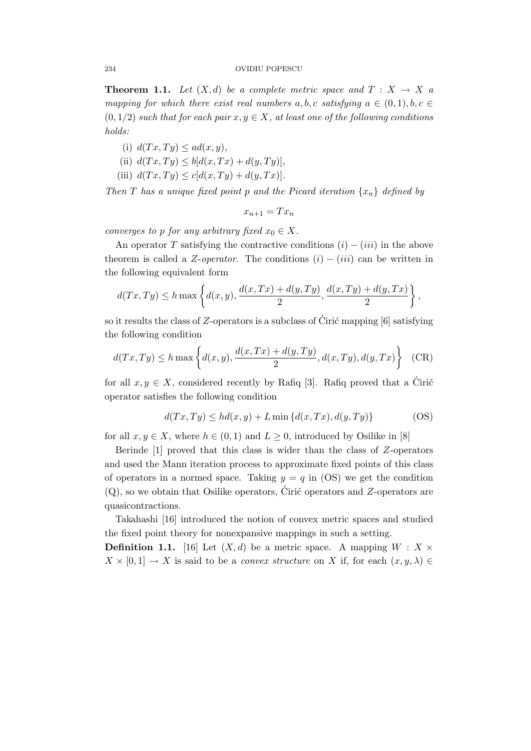**Theorem 1.1.** Let  $(X,d)$  be a complete metric space and  $T : X \to X$  a mapping for which there exist real numbers a, b, c satisfying  $a \in (0,1)$ , b,  $c \in$  $(0, 1/2)$  such that for each pair  $x, y \in X$ , at least one of the following conditions holds:

- (i)  $d(Tx, Ty) \leq ad(x, y)$ ,
- (ii)  $d(Tx, Ty) \leq b[d(x, Tx) + d(y, Ty)],$
- (iii)  $d(Tx, Ty) \le c[d(x, Ty) + d(y, Tx)].$

Then T has a unique fixed point p and the Picard iteration  $\{x_n\}$  defined by

$$
x_{n+1} = Tx_n
$$

converges to p for any arbitrary fixed  $x_0 \in X$ .

An operator T satisfying the contractive conditions  $(i) - (iii)$  in the above theorem is called a Z-*operator*. The conditions  $(i) - (iii)$  can be written in the following equivalent form

$$
d(Tx,Ty) \le h \max\left\{d(x,y), \frac{d(x,Tx)+d(y,Ty)}{2}, \frac{d(x,Ty)+d(y,Tx)}{2}\right\},\,
$$

so it results the class of Z-operators is a subclass of Ciric mapping  $[6]$  satisfying the following condition

$$
d(Tx,Ty) \le h \max\left\{d(x,y), \frac{d(x,Tx) + d(y,Ty)}{2}, d(x,Ty), d(y,Tx)\right\}
$$
 (CR)

for all  $x, y \in X$ , considered recently by Rafiq [3]. Rafiq proved that a Ciric operator satisfies the following condition

$$
d(Tx, Ty) \le hd(x, y) + L \min \{d(x, Tx), d(y, Ty)\}
$$
 (OS)

for all  $x, y \in X$ , where  $h \in (0, 1)$  and  $L \geq 0$ , introduced by Osilike in [8]

Berinde [1] proved that this class is wider than the class of Z-operators and used the Mann iteration process to approximate fixed points of this class of operators in a normed space. Taking  $y = q$  in (OS) we get the condition  $(Q)$ , so we obtain that Osilike operators, Ciric operators and  $Z$ -operators are quasicontractions.

Takahashi [16] introduced the notion of convex metric spaces and studied the fixed point theory for nonexpansive mappings in such a setting.

**Definition 1.1.** [16] Let  $(X, d)$  be a metric space. A mapping  $W : X \times$  $X \times [0,1] \to X$  is said to be a *convex structure* on X if, for each  $(x, y, \lambda) \in$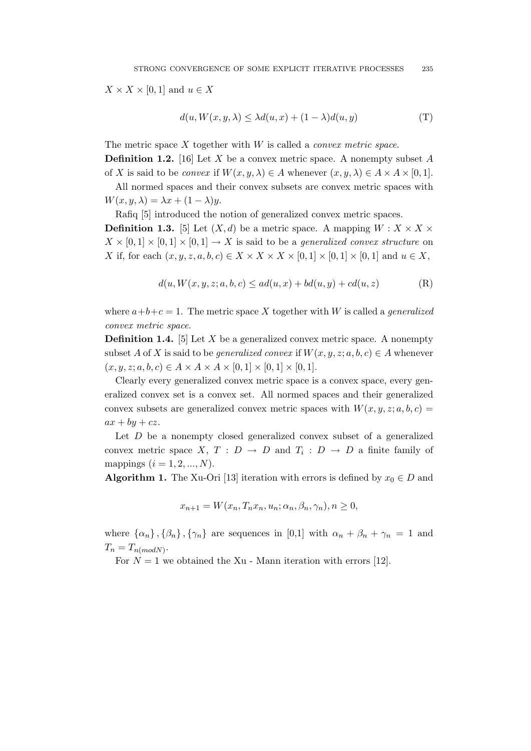$X \times X \times [0,1]$  and  $u \in X$ 

$$
d(u, W(x, y, \lambda) \le \lambda d(u, x) + (1 - \lambda)d(u, y)
$$
 (T)

The metric space  $X$  together with  $W$  is called a *convex metric space*.

**Definition 1.2.** [16] Let X be a convex metric space. A nonempty subset A of X is said to be *convex* if  $W(x, y, \lambda) \in A$  whenever  $(x, y, \lambda) \in A \times A \times [0, 1]$ .

All normed spaces and their convex subsets are convex metric spaces with  $W(x, y, \lambda) = \lambda x + (1 - \lambda)y.$ 

Rafiq [5] introduced the notion of generalized convex metric spaces.

**Definition 1.3.** [5] Let  $(X, d)$  be a metric space. A mapping  $W : X \times X \times Y$  $X \times [0,1] \times [0,1] \times [0,1] \rightarrow X$  is said to be a *generalized convex structure* on X if, for each  $(x, y, z, a, b, c) \in X \times X \times X \times [0, 1] \times [0, 1] \times [0, 1]$  and  $u \in X$ ,

$$
d(u, W(x, y, z; a, b, c) \le ad(u, x) + bd(u, y) + cd(u, z)
$$
 (R)

where  $a+b+c=1$ . The metric space X together with W is called a *generalized* convex metric space.

**Definition 1.4.** [5] Let  $X$  be a generalized convex metric space. A nonempty subset A of X is said to be *generalized convex* if  $W(x, y, z; a, b, c) \in A$  whenever  $(x, y, z; a, b, c) \in A \times A \times A \times [0, 1] \times [0, 1] \times [0, 1].$ 

Clearly every generalized convex metric space is a convex space, every generalized convex set is a convex set. All normed spaces and their generalized convex subsets are generalized convex metric spaces with  $W(x, y, z; a, b, c) =$  $ax + by + cz.$ 

Let  $D$  be a nonempty closed generalized convex subset of a generalized convex metric space X,  $T : D \to D$  and  $T_i : D \to D$  a finite family of mappings  $(i = 1, 2, ..., N)$ .

Algorithm 1. The Xu-Ori [13] iteration with errors is defined by  $x_0 \in D$  and

$$
x_{n+1} = W(x_n, T_n x_n, u_n; \alpha_n, \beta_n, \gamma_n), n \ge 0,
$$

where  $\{\alpha_n\}, \{\beta_n\}, \{\gamma_n\}$  are sequences in [0,1] with  $\alpha_n + \beta_n + \gamma_n = 1$  and  $T_n = T_{n(modN)}$ .

For  $N = 1$  we obtained the Xu - Mann iteration with errors [12].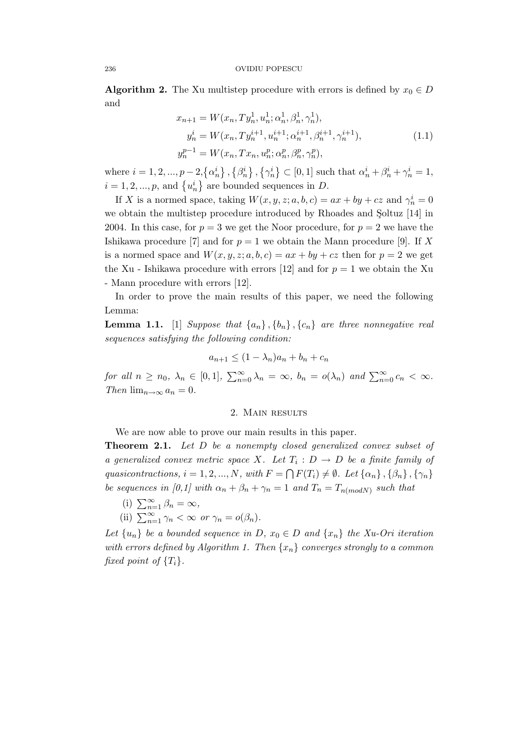**Algorithm 2.** The Xu multistep procedure with errors is defined by  $x_0 \in D$ and

$$
x_{n+1} = W(x_n, Ty_n^1, u_n^1; \alpha_n^1, \beta_n^1, \gamma_n^1),
$$
  
\n
$$
y_n^i = W(x_n, Ty_n^{i+1}, u_n^{i+1}; \alpha_n^{i+1}, \beta_n^{i+1}, \gamma_n^{i+1}),
$$
  
\n
$$
y_n^{p-1} = W(x_n, Tx_n, u_n^p; \alpha_n^p, \beta_n^p, \gamma_n^p),
$$
  
\n(1.1)

where  $i = 1, 2, ..., p - 2, \{\alpha_n^i\}$ ,  $\{\beta_n^i\}$ ,  $\{\gamma_n^i\} \subset [0, 1]$  such that  $\alpha_n^i + \beta_n^i + \gamma_n^i = 1$ ,  $i = 1, 2, ..., p$ , and  $\{u_n^i\}$  are bounded sequences in D.

If X is a normed space, taking  $W(x, y, z; a, b, c) = ax + by + cz$  and  $\gamma_n^i = 0$ we obtain the multistep procedure introduced by Rhoades and Soltuz [14] in 2004. In this case, for  $p = 3$  we get the Noor procedure, for  $p = 2$  we have the Ishikawa procedure [7] and for  $p = 1$  we obtain the Mann procedure [9]. If X is a normed space and  $W(x, y, z; a, b, c) = ax + by + cz$  then for  $p = 2$  we get the Xu - Ishikawa procedure with errors [12] and for  $p = 1$  we obtain the Xu - Mann procedure with errors [12].

In order to prove the main results of this paper, we need the following Lemma:

**Lemma 1.1.** [1] Suppose that  $\{a_n\}$ ,  $\{b_n\}$ ,  $\{c_n\}$  are three nonnegative real sequences satisfying the following condition:

$$
a_{n+1} \le (1 - \lambda_n)a_n + b_n + c_n
$$

for all  $n \ge n_0$ ,  $\lambda_n \in [0,1]$ ,  $\sum_{n=0}^{\infty} \lambda_n = \infty$ ,  $b_n = o(\lambda_n)$  and  $\sum_{n=0}^{\infty} c_n < \infty$ . Then  $\lim_{n\to\infty} a_n = 0$ .

#### 2. Main results

We are now able to prove our main results in this paper.

Theorem 2.1. Let D be a nonempty closed generalized convex subset of a generalized convex metric space X. Let  $T_i : D \to D$  be a finite family of quasicontractions,  $i = 1, 2, ..., N$ , with  $F = \bigcap F(T_i) \neq \emptyset$ . Let  $\{\alpha_n\}, \{\beta_n\}, \{\gamma_n\}$ be sequences in [0,1] with  $\alpha_n + \beta_n + \gamma_n = 1$  and  $T_n = T_{n(modN)}$  such that

- (i)  $\sum_{n=1}^{\infty} \beta_n = \infty$ ,
- (ii)  $\sum_{n=1}^{\infty} \gamma_n < \infty$  or  $\gamma_n = o(\beta_n)$ .

Let  $\{u_n\}$  be a bounded sequence in D,  $x_0 \in D$  and  $\{x_n\}$  the Xu-Ori iteration with errors defined by Algorithm 1. Then  $\{x_n\}$  converges strongly to a common fixed point of  $\{T_i\}$ .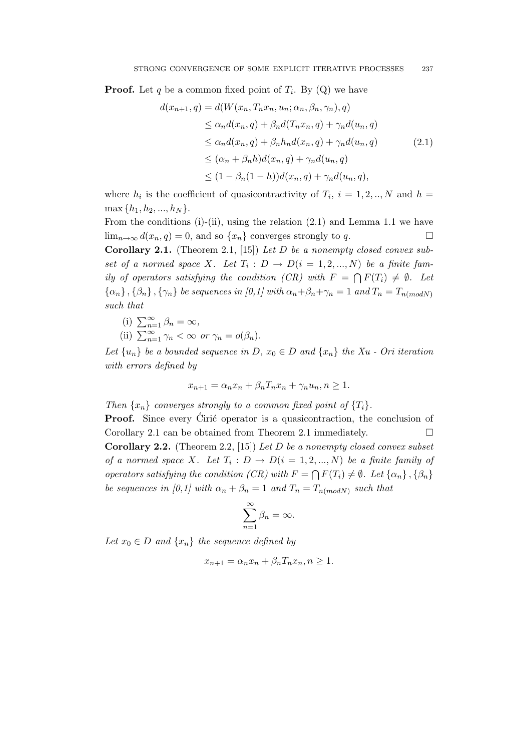**Proof.** Let q be a common fixed point of  $T_i$ . By  $(Q)$  we have

$$
d(x_{n+1}, q) = d(W(x_n, T_n x_n, u_n; \alpha_n, \beta_n, \gamma_n), q)
$$
  
\n
$$
\leq \alpha_n d(x_n, q) + \beta_n d(T_n x_n, q) + \gamma_n d(u_n, q)
$$
  
\n
$$
\leq \alpha_n d(x_n, q) + \beta_n h_n d(x_n, q) + \gamma_n d(u_n, q)
$$
  
\n
$$
\leq (\alpha_n + \beta_n h) d(x_n, q) + \gamma_n d(u_n, q)
$$
  
\n
$$
\leq (1 - \beta_n (1 - h)) d(x_n, q) + \gamma_n d(u_n, q),
$$
\n(2.1)

where  $h_i$  is the coefficient of quasicontractivity of  $T_i$ ,  $i = 1, 2, ..., N$  and  $h =$  $\max \{h_1, h_2, ..., h_N\}.$ 

From the conditions (i)-(ii), using the relation  $(2.1)$  and Lemma 1.1 we have  $\lim_{n\to\infty} d(x_n, q) = 0$ , and so  $\{x_n\}$  converges strongly to q. Corollary 2.1. (Theorem 2.1, [15]) Let  $D$  be a nonempty closed convex subset of a normed space X. Let  $T_i: D \to D(i = 1, 2, ..., N)$  be a finite family of operators satisfying the condition (CR) with  $F = \bigcap F(T_i) \neq \emptyset$ . Let  ${\{\alpha_n\}}$ ,  ${\{\beta_n\}}$ ,  ${\{\gamma_n\}}$  be sequences in [0,1] with  $\alpha_n + \beta_n + \gamma_n = 1$  and  $T_n = T_{n(modN)}$ such that

(i) 
$$
\sum_{n=1}^{\infty} \beta_n = \infty,
$$

(ii) 
$$
\sum_{n=1}^{\infty} \gamma_n < \infty
$$
 or  $\gamma_n = o(\beta_n)$ .

Let  $\{u_n\}$  be a bounded sequence in D,  $x_0 \in D$  and  $\{x_n\}$  the Xu - Ori iteration with errors defined by

$$
x_{n+1} = \alpha_n x_n + \beta_n T_n x_n + \gamma_n u_n, n \ge 1.
$$

Then  $\{x_n\}$  converges strongly to a common fixed point of  $\{T_i\}$ .

**Proof.** Since every Ciric operator is a quasicontraction, the conclusion of Corollary 2.1 can be obtained from Theorem 2.1 immediately.  $\square$ **Corollary 2.2.** (Theorem 2.2, [15]) Let D be a nonempty closed convex subset of a normed space X. Let  $T_i : D \to D(i = 1, 2, ..., N)$  be a finite family of operators satisfying the condition (CR) with  $F = \bigcap F(T_i) \neq \emptyset$ . Let  $\{\alpha_n\}, \{\beta_n\}$ be sequences in [0,1] with  $\alpha_n + \beta_n = 1$  and  $T_n = T_{n(modN)}$  such that

$$
\sum_{n=1}^{\infty} \beta_n = \infty.
$$

Let  $x_0 \in D$  and  $\{x_n\}$  the sequence defined by

$$
x_{n+1} = \alpha_n x_n + \beta_n T_n x_n, n \ge 1.
$$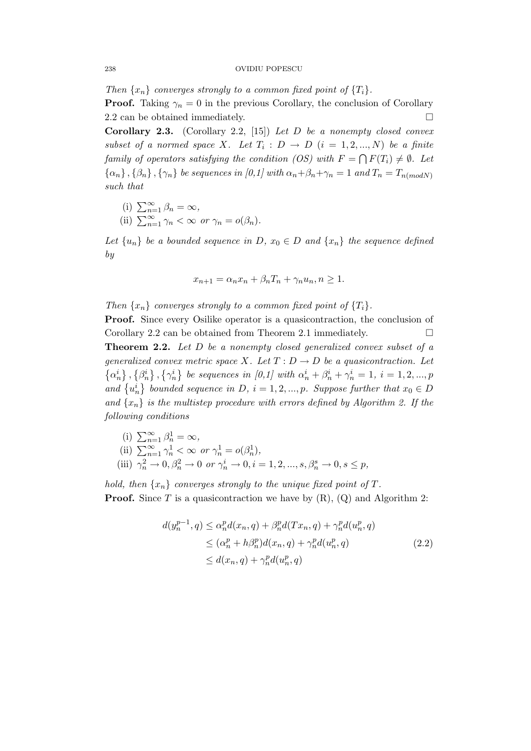Then  $\{x_n\}$  converges strongly to a common fixed point of  $\{T_i\}$ .

**Proof.** Taking  $\gamma_n = 0$  in the previous Corollary, the conclusion of Corollary 2.2 can be obtained immediately.

**Corollary 2.3.** (Corollary 2.2, [15]) Let  $D$  be a nonempty closed convex subset of a normed space X. Let  $T_i : D \to D$   $(i = 1, 2, ..., N)$  be a finite family of operators satisfying the condition (OS) with  $F = \bigcap F(T_i) \neq \emptyset$ . Let  ${\{\alpha_n\}}$ ,  ${\{\beta_n\}}$ ,  ${\{\gamma_n\}}$  be sequences in [0,1] with  $\alpha_n + \beta_n + \gamma_n = 1$  and  $T_n = T_{n(modN)}$ such that

(i) 
$$
\sum_{n=1}^{\infty} \beta_n = \infty,
$$

(ii)  $\sum_{n=1}^{\infty} \gamma_n < \infty$  or  $\gamma_n = o(\beta_n)$ .

Let  $\{u_n\}$  be a bounded sequence in D,  $x_0 \in D$  and  $\{x_n\}$  the sequence defined by

$$
x_{n+1} = \alpha_n x_n + \beta_n T_n + \gamma_n u_n, n \ge 1.
$$

Then  $\{x_n\}$  converges strongly to a common fixed point of  $\{T_i\}$ .

Proof. Since every Osilike operator is a quasicontraction, the conclusion of Corollary 2.2 can be obtained from Theorem 2.1 immediately.  $\Box$ Theorem 2.2. Let D be a nonempty closed generalized convex subset of a generalized convex metric space X. Let  $T: D \to D$  be a quasicontraction. Let  $\{\alpha_n^i\},\{\beta_n^i\},\{\gamma_n^i\}$  be sequences in [0,1] with  $\alpha_n^i + \beta_n^i + \gamma_n^i = 1, i = 1,2,...,p$ and  $\{u_n^i\}$  bounded sequence in D,  $i = 1, 2, ..., p$ . Suppose further that  $x_0 \in D$ and  $\{x_n\}$  is the multistep procedure with errors defined by Algorithm 2. If the following conditions

(i)  $\sum_{n=1}^{\infty} \beta_n^1 = \infty$ , (ii)  $\sum_{n=1}^{\infty} \gamma_n^1 < \infty$  or  $\gamma_n^1 = o(\beta_n^1)$ , (iii)  $\gamma_n^2 \to 0, \beta_n^2 \to 0 \text{ or } \gamma_n^i \to 0, i = 1, 2, ..., s, \beta_n^s \to 0, s \le p,$ 

hold, then  $\{x_n\}$  converges strongly to the unique fixed point of T. **Proof.** Since T is a quasicontraction we have by  $(R)$ ,  $(Q)$  and Algorithm 2:

$$
d(y_n^{p-1}, q) \le \alpha_n^p d(x_n, q) + \beta_n^p d(Tx_n, q) + \gamma_n^p d(u_n^p, q)
$$
  
\n
$$
\le (\alpha_n^p + h\beta_n^p) d(x_n, q) + \gamma_n^p d(u_n^p, q)
$$
  
\n
$$
\le d(x_n, q) + \gamma_n^p d(u_n^p, q)
$$
\n(2.2)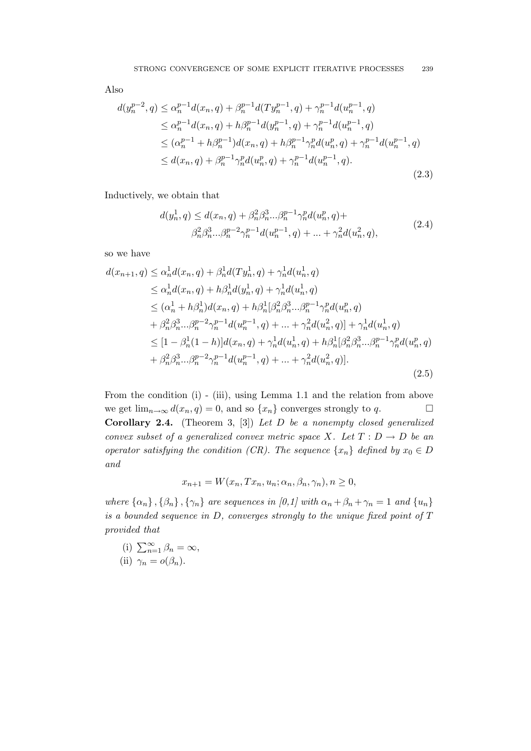Also

$$
d(y_n^{p-2}, q) \le \alpha_n^{p-1} d(x_n, q) + \beta_n^{p-1} d(T y_n^{p-1}, q) + \gamma_n^{p-1} d(u_n^{p-1}, q)
$$
  
\n
$$
\le \alpha_n^{p-1} d(x_n, q) + h \beta_n^{p-1} d(y_n^{p-1}, q) + \gamma_n^{p-1} d(u_n^{p-1}, q)
$$
  
\n
$$
\le (\alpha_n^{p-1} + h \beta_n^{p-1}) d(x_n, q) + h \beta_n^{p-1} \gamma_n^p d(u_n^p, q) + \gamma_n^{p-1} d(u_n^{p-1}, q)
$$
  
\n
$$
\le d(x_n, q) + \beta_n^{p-1} \gamma_n^p d(u_n^p, q) + \gamma_n^{p-1} d(u_n^{p-1}, q).
$$
\n(2.3)

Inductively, we obtain that

$$
d(y_n^1, q) \le d(x_n, q) + \beta_n^2 \beta_n^3 \dots \beta_n^{p-1} \gamma_n^p d(u_n^p, q) +
$$
  

$$
\beta_n^2 \beta_n^3 \dots \beta_n^{p-2} \gamma_n^{p-1} d(u_n^{p-1}, q) + \dots + \gamma_n^2 d(u_n^2, q),
$$
 (2.4)

so we have

$$
d(x_{n+1}, q) \leq \alpha_n^1 d(x_n, q) + \beta_n^1 d(Ty_n^1, q) + \gamma_n^1 d(u_n^1, q)
$$
  
\n
$$
\leq \alpha_n^1 d(x_n, q) + h\beta_n^1 d(y_n^1, q) + \gamma_n^1 d(u_n^1, q)
$$
  
\n
$$
\leq (\alpha_n^1 + h\beta_n^1) d(x_n, q) + h\beta_n^1 [\beta_n^2 \beta_n^3 ... \beta_n^{p-1} \gamma_n^p d(u_n^p, q)
$$
  
\n
$$
+ \beta_n^2 \beta_n^3 ... \beta_n^{p-2} \gamma_n^{p-1} d(u_n^{p-1}, q) + ... + \gamma_n^2 d(u_n^2, q)] + \gamma_n^1 d(u_n^1, q)
$$
  
\n
$$
\leq [1 - \beta_n^1 (1 - h)] d(x_n, q) + \gamma_n^1 d(u_n^1, q) + h\beta_n^1 [\beta_n^2 \beta_n^3 ... \beta_n^{p-1} \gamma_n^p d(u_n^p, q)
$$
  
\n
$$
+ \beta_n^2 \beta_n^3 ... \beta_n^{p-2} \gamma_n^{p-1} d(u_n^{p-1}, q) + ... + \gamma_n^2 d(u_n^2, q)].
$$
\n(2.5)

From the condition (i) - (iii), using Lemma 1.1 and the relation from above we get  $\lim_{n\to\infty} d(x_n, q) = 0$ , and so  $\{x_n\}$  converges strongly to q. **Corollary 2.4.** (Theorem 3, [3]) Let  $D$  be a nonempty closed generalized convex subset of a generalized convex metric space X. Let  $T : D \to D$  be an operator satisfying the condition (CR). The sequence  $\{x_n\}$  defined by  $x_0 \in D$ and

$$
x_{n+1} = W(x_n, Tx_n, u_n; \alpha_n, \beta_n, \gamma_n), n \ge 0,
$$

where  $\{\alpha_n\}$ ,  $\{\beta_n\}$ ,  $\{\gamma_n\}$  are sequences in [0,1] with  $\alpha_n + \beta_n + \gamma_n = 1$  and  $\{u_n\}$ is a bounded sequence in  $D$ , converges strongly to the unique fixed point of  $T$ provided that

(i) 
$$
\sum_{n=1}^{\infty} \beta_n = \infty
$$
,  
(ii)  $\gamma_n = o(\beta_n)$ .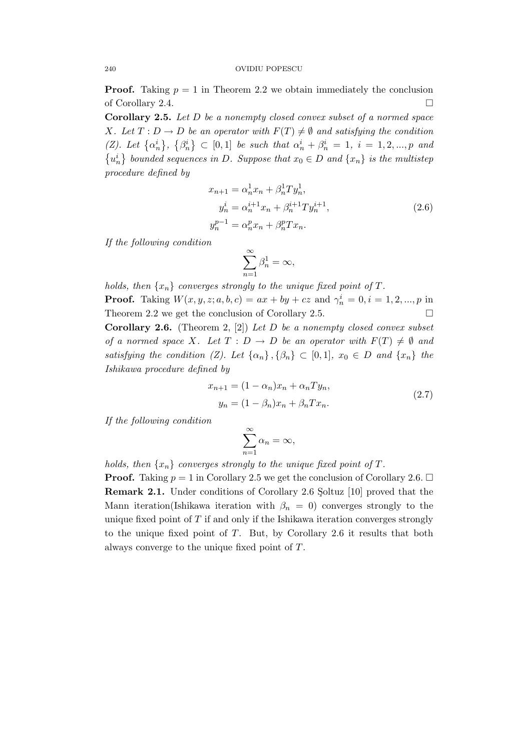**Proof.** Taking  $p = 1$  in Theorem 2.2 we obtain immediately the conclusion of Corollary 2.4.

Corollary 2.5. Let D be a nonempty closed convex subset of a normed space X. Let  $T: D \to D$  be an operator with  $F(T) \neq \emptyset$  and satisfying the condition (Z). Let  $\{\alpha_n^i\},\ \{\beta_n^i\} \subset [0,1]$  be such that  $\alpha_n^i + \beta_n^i = 1, i = 1,2,...,p$  and  $\{u_n^i\}$  bounded sequences in D. Suppose that  $x_0 \in D$  and  $\{x_n\}$  is the multistep procedure defined by

$$
x_{n+1} = \alpha_n^1 x_n + \beta_n^1 T y_n^1,
$$
  
\n
$$
y_n^i = \alpha_n^{i+1} x_n + \beta_n^{i+1} T y_n^{i+1},
$$
  
\n
$$
y_n^{p-1} = \alpha_n^p x_n + \beta_n^p T x_n.
$$
\n(2.6)

If the following condition

$$
\sum_{n=1}^{\infty} \beta_n^1 = \infty,
$$

holds, then  $\{x_n\}$  converges strongly to the unique fixed point of T. **Proof.** Taking  $W(x, y, z; a, b, c) = ax + by + cz$  and  $\gamma_n^i = 0, i = 1, 2, ..., p$  in Theorem 2.2 we get the conclusion of Corollary 2.5.  $\Box$ **Corollary 2.6.** (Theorem 2, [2]) Let D be a nonempty closed convex subset of a normed space X. Let  $T : D \to D$  be an operator with  $F(T) \neq \emptyset$  and satisfying the condition (Z). Let  $\{\alpha_n\}$ ,  $\{\beta_n\} \subset [0,1]$ ,  $x_0 \in D$  and  $\{x_n\}$  the Ishikawa procedure defined by

$$
x_{n+1} = (1 - \alpha_n)x_n + \alpha_n Ty_n,
$$
  

$$
y_n = (1 - \beta_n)x_n + \beta_n Tx_n.
$$
 (2.7)

If the following condition

$$
\sum_{n=1}^{\infty} \alpha_n = \infty,
$$

holds, then  $\{x_n\}$  converges strongly to the unique fixed point of T.

**Proof.** Taking  $p = 1$  in Corollary 2.5 we get the conclusion of Corollary 2.6.  $\Box$ Remark 2.1. Under conditions of Corollary 2.6 Soltuz [10] proved that the Mann iteration(Ishikawa iteration with  $\beta_n = 0$ ) converges strongly to the unique fixed point of  $T$  if and only if the Ishikawa iteration converges strongly to the unique fixed point of  $T$ . But, by Corollary 2.6 it results that both always converge to the unique fixed point of T.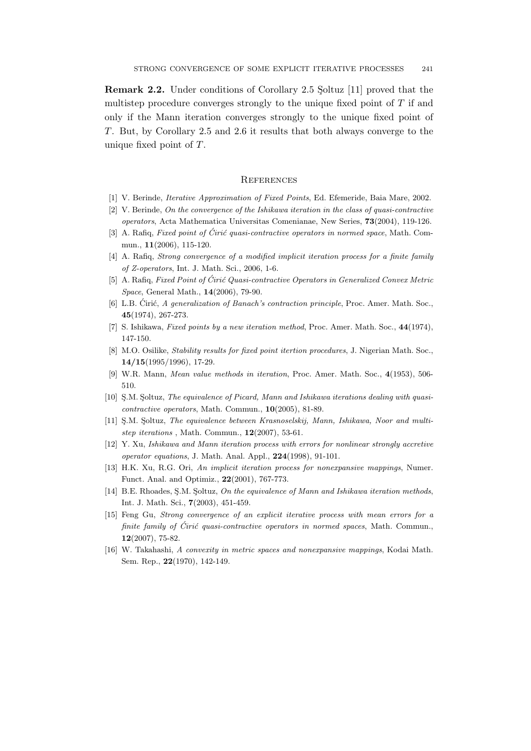**Remark 2.2.** Under conditions of Corollary 2.5 Soltuz [11] proved that the multistep procedure converges strongly to the unique fixed point of  $T$  if and only if the Mann iteration converges strongly to the unique fixed point of T. But, by Corollary 2.5 and 2.6 it results that both always converge to the unique fixed point of  $T$ .

#### **REFERENCES**

- [1] V. Berinde, Iterative Approximation of Fixed Points, Ed. Efemeride, Baia Mare, 2002.
- [2] V. Berinde, On the convergence of the Ishikawa iteration in the class of quasi-contractive operators, Acta Mathematica Universitas Comenianae, New Series, 73(2004), 119-126.
- [3] A. Rafiq, Fixed point of Ćirić quasi-contractive operators in normed space, Math. Commun., 11(2006), 115-120.
- [4] A. Rafiq, Strong convergence of a modified implicit iteration process for a finite family of Z-operators, Int. J. Math. Sci., 2006, 1-6.
- [5] A. Rafiq, Fixed Point of Ćirić Quasi-contractive Operators in Generalized Convex Metric Space, General Math., 14(2006), 79-90.
- [6] L.B. Cirić, A generalization of Banach's contraction principle, Proc. Amer. Math. Soc., 45(1974), 267-273.
- [7] S. Ishikawa, Fixed points by a new iteration method, Proc. Amer. Math. Soc., 44(1974), 147-150.
- [8] M.O. Osilike, *Stability results for fixed point itertion procedures*, J. Nigerian Math. Soc., 14/15(1995/1996), 17-29.
- [9] W.R. Mann, Mean value methods in iteration, Proc. Amer. Math. Soc., 4(1953), 506- 510.
- [10] S.M. Soltuz, The equivalence of Picard, Mann and Ishikawa iterations dealing with quasicontractive operators, Math. Commun., 10(2005), 81-89.
- [11] S.M. Soltuz, The equivalence between Krasnoselskij, Mann, Ishikawa, Noor and multistep iterations, Math. Commun.,  $12(2007)$ , 53-61.
- [12] Y. Xu, Ishikawa and Mann iteration process with errors for nonlinear strongly accretive operator equations, J. Math. Anal. Appl., 224(1998), 91-101.
- [13] H.K. Xu, R.G. Ori, An implicit iteration process for nonexpansive mappings, Numer. Funct. Anal. and Optimiz., 22(2001), 767-773.
- [14] B.E. Rhoades, S.M. Soltuz, On the equivalence of Mann and Ishikawa iteration methods, Int. J. Math. Sci., 7(2003), 451-459.
- [15] Feng Gu, Strong convergence of an explicit iterative process with mean errors for a finite family of Ciric quasi-contractive operators in normed spaces, Math. Commun., 12(2007), 75-82.
- [16] W. Takahashi, A convexity in metric spaces and nonexpansive mappings, Kodai Math. Sem. Rep., 22(1970), 142-149.